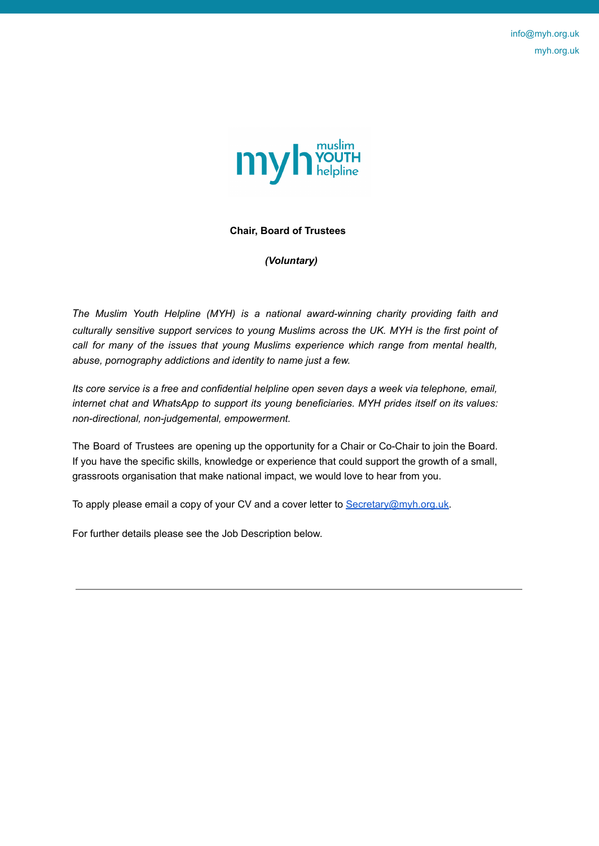info@myh.org.uk myh.org.uk



## **Chair, Board of Trustees**

*(Voluntary)*

*The Muslim Youth Helpline (MYH) is a national award-winning charity providing faith and culturally sensitive support services to young Muslims across the UK. MYH is the first point of call for many of the issues that young Muslims experience which range from mental health, abuse, pornography addictions and identity to name just a few.*

*Its core service is a free and confidential helpline open seven days a week via telephone, email, internet chat and WhatsApp to support its young beneficiaries. MYH prides itself on its values: non-directional, non-judgemental, empowerment.*

The Board of Trustees are opening up the opportunity for a Chair or Co-Chair to join the Board. If you have the specific skills, knowledge or experience that could support the growth of a small, grassroots organisation that make national impact, we would love to hear from you.

To apply please email a copy of your CV and a cover letter to Secretary@myh.org.uk.

For further details please see the Job Description below.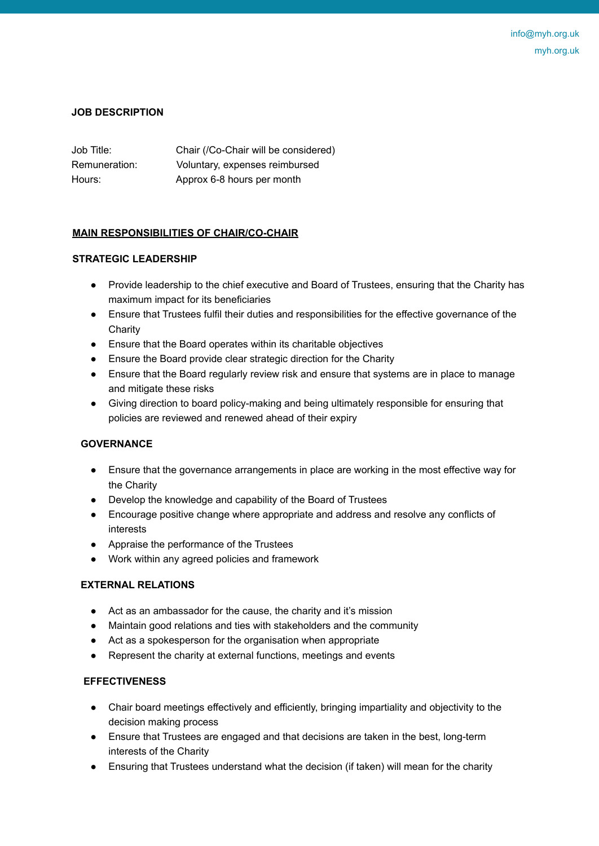### **JOB DESCRIPTION**

| Job Title:    | Chair (/Co-Chair will be considered) |
|---------------|--------------------------------------|
| Remuneration: | Voluntary, expenses reimbursed       |
| Hours:        | Approx 6-8 hours per month           |

## **MAIN RESPONSIBILITIES OF CHAIR/CO-CHAIR**

## **STRATEGIC LEADERSHIP**

- Provide leadership to the chief executive and Board of Trustees, ensuring that the Charity has maximum impact for its beneficiaries
- Ensure that Trustees fulfil their duties and responsibilities for the effective governance of the **Charity**
- Ensure that the Board operates within its charitable objectives
- Ensure the Board provide clear strategic direction for the Charity
- Ensure that the Board regularly review risk and ensure that systems are in place to manage and mitigate these risks
- Giving direction to board policy-making and being ultimately responsible for ensuring that policies are reviewed and renewed ahead of their expiry

### **GOVERNANCE**

- Ensure that the governance arrangements in place are working in the most effective way for the Charity
- Develop the knowledge and capability of the Board of Trustees
- Encourage positive change where appropriate and address and resolve any conflicts of interests
- Appraise the performance of the Trustees
- Work within any agreed policies and framework

# **EXTERNAL RELATIONS**

- Act as an ambassador for the cause, the charity and it's mission
- Maintain good relations and ties with stakeholders and the community
- Act as a spokesperson for the organisation when appropriate
- Represent the charity at external functions, meetings and events

### **EFFECTIVENESS**

- Chair board meetings effectively and efficiently, bringing impartiality and objectivity to the decision making process
- Ensure that Trustees are engaged and that decisions are taken in the best, long-term interests of the Charity
- Ensuring that Trustees understand what the decision (if taken) will mean for the charity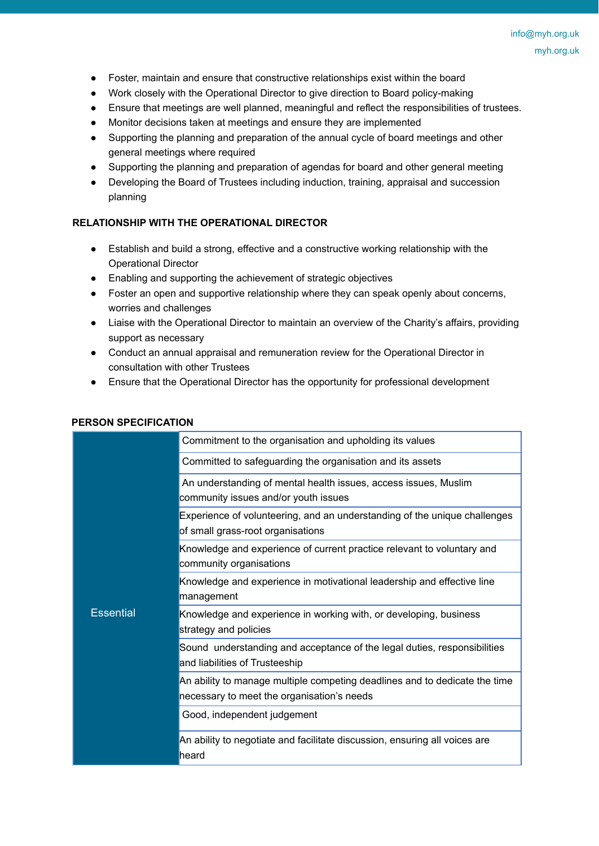- Foster, maintain and ensure that constructive relationships exist within the board
- Work closely with the Operational Director to give direction to Board policy-making
- Ensure that meetings are well planned, meaningful and reflect the responsibilities of trustees.
- Monitor decisions taken at meetings and ensure they are implemented
- Supporting the planning and preparation of the annual cycle of board meetings and other general meetings where required
- Supporting the planning and preparation of agendas for board and other general meeting
- Developing the Board of Trustees including induction, training, appraisal and succession planning

### **RELATIONSHIP WITH THE OPERATIONAL DIRECTOR**

- Establish and build a strong, effective and a constructive working relationship with the Operational Director
- Enabling and supporting the achievement of strategic objectives
- Foster an open and supportive relationship where they can speak openly about concerns, worries and challenges
- Liaise with the Operational Director to maintain an overview of the Charity's affairs, providing support as necessary
- Conduct an annual appraisal and remuneration review for the Operational Director in consultation with other Trustees
- Ensure that the Operational Director has the opportunity for professional development

## **PERSON SPECIFICATION**

| <b>Essential</b> | Commitment to the organisation and upholding its values                                                                  |
|------------------|--------------------------------------------------------------------------------------------------------------------------|
|                  | Committed to safeguarding the organisation and its assets                                                                |
|                  | An understanding of mental health issues, access issues, Muslim<br>community issues and/or youth issues                  |
|                  | Experience of volunteering, and an understanding of the unique challenges<br>of small grass-root organisations           |
|                  | Knowledge and experience of current practice relevant to voluntary and<br>community organisations                        |
|                  | Knowledge and experience in motivational leadership and effective line<br>management                                     |
|                  | Knowledge and experience in working with, or developing, business<br>strategy and policies                               |
|                  | Sound understanding and acceptance of the legal duties, responsibilities<br>and liabilities of Trusteeship               |
|                  | An ability to manage multiple competing deadlines and to dedicate the time<br>necessary to meet the organisation's needs |
|                  | Good, independent judgement                                                                                              |
|                  | An ability to negotiate and facilitate discussion, ensuring all voices are<br>heard                                      |